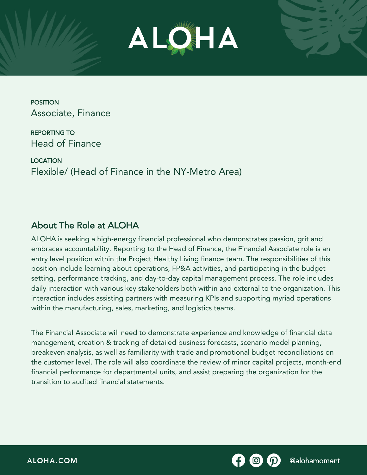

POSITION Associate, Finance

REPORTING TO Head of Finance

LOCATION Flexible/ (Head of Finance in the NY-Metro Area)

## About The Role at ALOHA

ALOHA is seeking a high-energy financial professional who demonstrates passion, grit and embraces accountability. Reporting to the Head of Finance, the Financial Associate role is an entry level position within the Project Healthy Living finance team. The responsibilities of this position include learning about operations, FP&A activities, and participating in the budget setting, performance tracking, and day-to-day capital management process. The role includes daily interaction with various key stakeholders both within and external to the organization. This interaction includes assisting partners with measuring KPIs and supporting myriad operations within the manufacturing, sales, marketing, and logistics teams.

The Financial Associate will need to demonstrate experience and knowledge of financial data management, creation & tracking of detailed business forecasts, scenario model planning, breakeven analysis, as well as familiarity with trade and promotional budget reconciliations on the customer level. The role will also coordinate the review of minor capital projects, month-end financial performance for departmental units, and assist preparing the organization for the transition to audited financial statements.

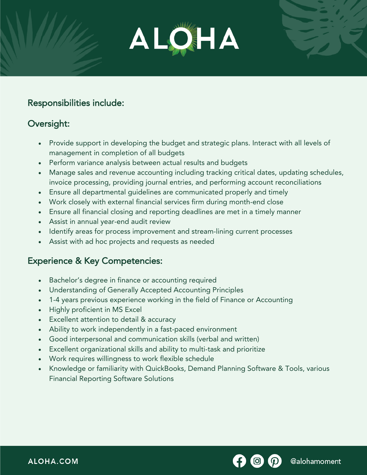

### Responsibilities include:

### Oversight:

- Provide support in developing the budget and strategic plans. Interact with all levels of management in completion of all budgets
- Perform variance analysis between actual results and budgets
- Manage sales and revenue accounting including tracking critical dates, updating schedules, invoice processing, providing journal entries, and performing account reconciliations
- Ensure all departmental guidelines are communicated properly and timely
- Work closely with external financial services firm during month-end close
- Ensure all financial closing and reporting deadlines are met in a timely manner
- Assist in annual year-end audit review
- Identify areas for process improvement and stream-lining current processes
- Assist with ad hoc projects and requests as needed

#### Experience & Key Competencies:

- Bachelor's degree in finance or accounting required
- Understanding of Generally Accepted Accounting Principles
- 1-4 years previous experience working in the field of Finance or Accounting
- Highly proficient in MS Excel
- Excellent attention to detail & accuracy
- Ability to work independently in a fast-paced environment
- Good interpersonal and communication skills (verbal and written)
- Excellent organizational skills and ability to multi-task and prioritize
- Work requires willingness to work flexible schedule
- Knowledge or familiarity with QuickBooks, Demand Planning Software & Tools, various Financial Reporting Software Solutions